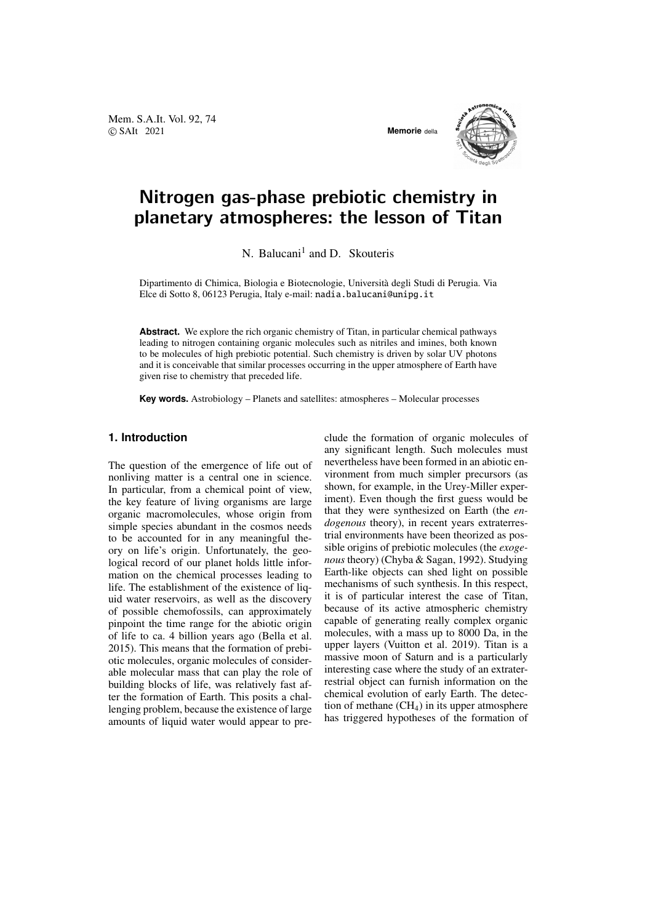Mem. S.A.It. Vol. 92, 74 © SAIt 2021 **Memorie** della



# Nitrogen gas-phase prebiotic chemistry in planetary atmospheres: the lesson of Titan

N. Balucani<sup>1</sup> and D. Skouteris

Dipartimento di Chimica, Biologia e Biotecnologie, Universita degli Studi di Perugia. Via ` Elce di Sotto 8, 06123 Perugia, Italy e-mail: nadia.balucani@unipg.it

**Abstract.** We explore the rich organic chemistry of Titan, in particular chemical pathways leading to nitrogen containing organic molecules such as nitriles and imines, both known to be molecules of high prebiotic potential. Such chemistry is driven by solar UV photons and it is conceivable that similar processes occurring in the upper atmosphere of Earth have given rise to chemistry that preceded life.

**Key words.** Astrobiology – Planets and satellites: atmospheres – Molecular processes

## **1. Introduction**

The question of the emergence of life out of nonliving matter is a central one in science. In particular, from a chemical point of view, the key feature of living organisms are large organic macromolecules, whose origin from simple species abundant in the cosmos needs to be accounted for in any meaningful theory on life's origin. Unfortunately, the geological record of our planet holds little information on the chemical processes leading to life. The establishment of the existence of liquid water reservoirs, as well as the discovery of possible chemofossils, can approximately pinpoint the time range for the abiotic origin of life to ca. 4 billion years ago (Bella et al. 2015). This means that the formation of prebiotic molecules, organic molecules of considerable molecular mass that can play the role of building blocks of life, was relatively fast after the formation of Earth. This posits a challenging problem, because the existence of large amounts of liquid water would appear to preclude the formation of organic molecules of any significant length. Such molecules must nevertheless have been formed in an abiotic environment from much simpler precursors (as shown, for example, in the Urey-Miller experiment). Even though the first guess would be that they were synthesized on Earth (the *endogenous* theory), in recent years extraterrestrial environments have been theorized as possible origins of prebiotic molecules (the *exogenous* theory) (Chyba & Sagan, 1992). Studying Earth-like objects can shed light on possible mechanisms of such synthesis. In this respect, it is of particular interest the case of Titan, because of its active atmospheric chemistry capable of generating really complex organic molecules, with a mass up to 8000 Da, in the upper layers (Vuitton et al. 2019). Titan is a massive moon of Saturn and is a particularly interesting case where the study of an extraterrestrial object can furnish information on the chemical evolution of early Earth. The detection of methane  $(CH<sub>4</sub>)$  in its upper atmosphere has triggered hypotheses of the formation of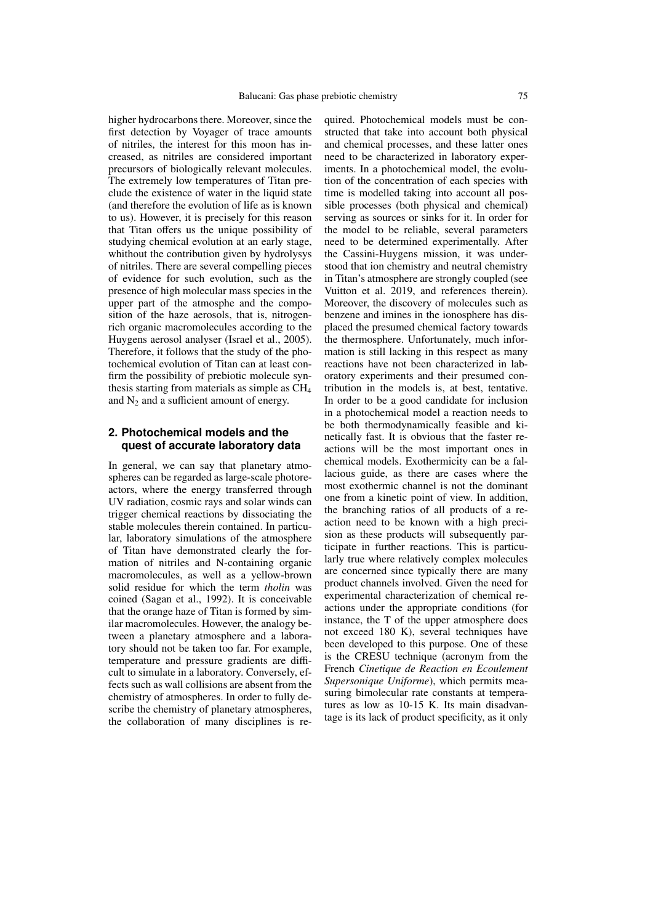higher hydrocarbons there. Moreover, since the first detection by Voyager of trace amounts of nitriles, the interest for this moon has increased, as nitriles are considered important precursors of biologically relevant molecules. The extremely low temperatures of Titan preclude the existence of water in the liquid state (and therefore the evolution of life as is known to us). However, it is precisely for this reason that Titan offers us the unique possibility of studying chemical evolution at an early stage, whithout the contribution given by hydrolysys of nitriles. There are several compelling pieces of evidence for such evolution, such as the presence of high molecular mass species in the upper part of the atmosphe and the composition of the haze aerosols, that is, nitrogenrich organic macromolecules according to the Huygens aerosol analyser (Israel et al., 2005). Therefore, it follows that the study of the photochemical evolution of Titan can at least confirm the possibility of prebiotic molecule synthesis starting from materials as simple as CH<sup>4</sup> and  $N_2$  and a sufficient amount of energy.

### **2. Photochemical models and the quest of accurate laboratory data**

In general, we can say that planetary atmospheres can be regarded as large-scale photoreactors, where the energy transferred through UV radiation, cosmic rays and solar winds can trigger chemical reactions by dissociating the stable molecules therein contained. In particular, laboratory simulations of the atmosphere of Titan have demonstrated clearly the formation of nitriles and N-containing organic macromolecules, as well as a yellow-brown solid residue for which the term *tholin* was coined (Sagan et al., 1992). It is conceivable that the orange haze of Titan is formed by similar macromolecules. However, the analogy between a planetary atmosphere and a laboratory should not be taken too far. For example, temperature and pressure gradients are difficult to simulate in a laboratory. Conversely, effects such as wall collisions are absent from the chemistry of atmospheres. In order to fully describe the chemistry of planetary atmospheres, the collaboration of many disciplines is required. Photochemical models must be constructed that take into account both physical and chemical processes, and these latter ones need to be characterized in laboratory experiments. In a photochemical model, the evolution of the concentration of each species with time is modelled taking into account all possible processes (both physical and chemical) serving as sources or sinks for it. In order for the model to be reliable, several parameters need to be determined experimentally. After the Cassini-Huygens mission, it was understood that ion chemistry and neutral chemistry in Titan's atmosphere are strongly coupled (see Vuitton et al. 2019, and references therein). Moreover, the discovery of molecules such as benzene and imines in the ionosphere has displaced the presumed chemical factory towards the thermosphere. Unfortunately, much information is still lacking in this respect as many reactions have not been characterized in laboratory experiments and their presumed contribution in the models is, at best, tentative. In order to be a good candidate for inclusion in a photochemical model a reaction needs to be both thermodynamically feasible and kinetically fast. It is obvious that the faster reactions will be the most important ones in chemical models. Exothermicity can be a fallacious guide, as there are cases where the most exothermic channel is not the dominant one from a kinetic point of view. In addition, the branching ratios of all products of a reaction need to be known with a high precision as these products will subsequently participate in further reactions. This is particularly true where relatively complex molecules are concerned since typically there are many product channels involved. Given the need for experimental characterization of chemical reactions under the appropriate conditions (for instance, the T of the upper atmosphere does not exceed 180 K), several techniques have been developed to this purpose. One of these is the CRESU technique (acronym from the French *Cinetique de Reaction en Ecoulement Supersonique Uniforme*), which permits measuring bimolecular rate constants at temperatures as low as 10-15 K. Its main disadvantage is its lack of product specificity, as it only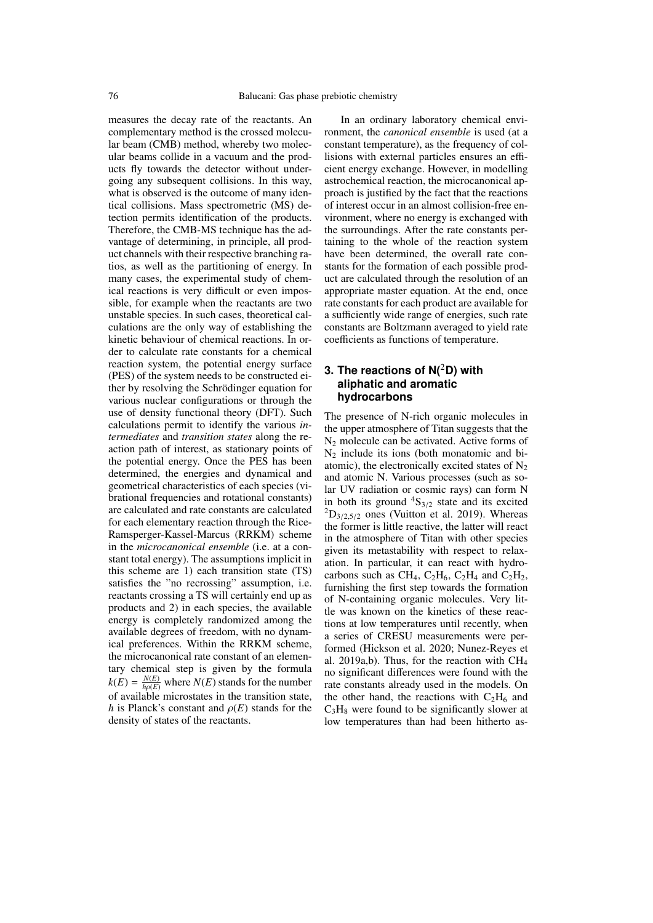measures the decay rate of the reactants. An complementary method is the crossed molecular beam (CMB) method, whereby two molecular beams collide in a vacuum and the products fly towards the detector without undergoing any subsequent collisions. In this way, what is observed is the outcome of many identical collisions. Mass spectrometric (MS) detection permits identification of the products. Therefore, the CMB-MS technique has the advantage of determining, in principle, all product channels with their respective branching ratios, as well as the partitioning of energy. In many cases, the experimental study of chemical reactions is very difficult or even impossible, for example when the reactants are two unstable species. In such cases, theoretical calculations are the only way of establishing the kinetic behaviour of chemical reactions. In order to calculate rate constants for a chemical reaction system, the potential energy surface (PES) of the system needs to be constructed either by resolving the Schrödinger equation for various nuclear configurations or through the use of density functional theory (DFT). Such calculations permit to identify the various *intermediates* and *transition states* along the reaction path of interest, as stationary points of the potential energy. Once the PES has been determined, the energies and dynamical and geometrical characteristics of each species (vibrational frequencies and rotational constants) are calculated and rate constants are calculated for each elementary reaction through the Rice-Ramsperger-Kassel-Marcus (RRKM) scheme in the *microcanonical ensemble* (i.e. at a constant total energy). The assumptions implicit in this scheme are 1) each transition state (TS) satisfies the "no recrossing" assumption, i.e. reactants crossing a TS will certainly end up as products and 2) in each species, the available energy is completely randomized among the available degrees of freedom, with no dynamical preferences. Within the RRKM scheme, the microcanonical rate constant of an elementary chemical step is given by the formula  $k(E) = \frac{N(E)}{h(p(E))}$  where  $N(E)$  stands for the number<br>of available microstates in the transition state of available microstates in the transition state, *h* is Planck's constant and  $\rho(E)$  stands for the density of states of the reactants.

In an ordinary laboratory chemical environment, the *canonical ensemble* is used (at a constant temperature), as the frequency of collisions with external particles ensures an efficient energy exchange. However, in modelling astrochemical reaction, the microcanonical approach is justified by the fact that the reactions of interest occur in an almost collision-free environment, where no energy is exchanged with the surroundings. After the rate constants pertaining to the whole of the reaction system have been determined, the overall rate constants for the formation of each possible product are calculated through the resolution of an appropriate master equation. At the end, once rate constants for each product are available for a sufficiently wide range of energies, such rate constants are Boltzmann averaged to yield rate coefficients as functions of temperature.

# **3. The reactions of N(**2**D) with aliphatic and aromatic hydrocarbons**

The presence of N-rich organic molecules in the upper atmosphere of Titan suggests that the  $N_2$  molecule can be activated. Active forms of  $N_2$  include its ions (both monatomic and biatomic), the electronically excited states of  $N_2$ and atomic N. Various processes (such as solar UV radiation or cosmic rays) can form N in both its ground  ${}^{4}S_{3/2}$  state and its excited  ${}^{2}D_{3/2,5/2}$  ones (Vuitton et al. 2019). Whereas the former is little reactive, the latter will react in the atmosphere of Titan with other species given its metastability with respect to relaxation. In particular, it can react with hydrocarbons such as CH<sub>4</sub>, C<sub>2</sub>H<sub>6</sub>, C<sub>2</sub>H<sub>4</sub> and C<sub>2</sub>H<sub>2</sub>, furnishing the first step towards the formation of N-containing organic molecules. Very little was known on the kinetics of these reactions at low temperatures until recently, when a series of CRESU measurements were performed (Hickson et al. 2020; Nunez-Reyes et al. 2019a,b). Thus, for the reaction with  $CH<sub>4</sub>$ no significant differences were found with the rate constants already used in the models. On the other hand, the reactions with  $C_2H_6$  and  $C_3H_8$  were found to be significantly slower at low temperatures than had been hitherto as-